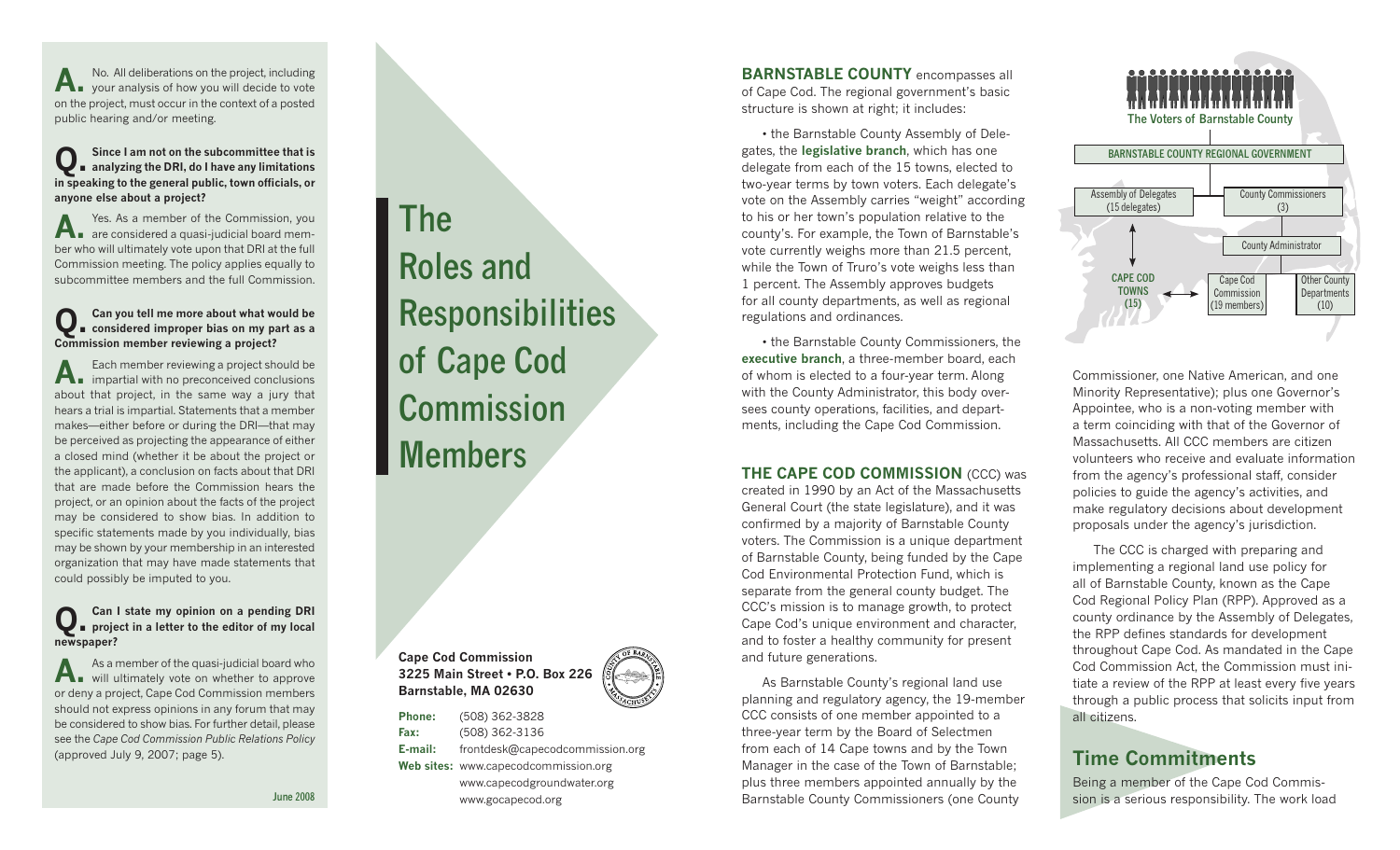A. No. All deliberations on the project, including<br>your analysis of how you will decide to vote on the project, must occur in the context of a posted public hearing and/or meeting.

### **Q. Since I am not on the subcommittee that is analyzing the DRI, do I have any limitations in speaking to the general public, town officials, or anyone else about a project?**

A. Yes. As a member of the Commission, you<br>are considered a quasi-judicial board member who will ultimately vote upon that DRI at the full Commission meeting. The policy applies equally to subcommittee members and the full Commission.

# **Q. Can you tell me more about what would be considered improper bias on my part as a Commission member reviewing a project?**

A. Each member reviewing a project should be<br>impartial with no preconceived conclusions about that project, in the same way a jury that hears a trial is impartial. Statements that a member makes—either before or during the DRI—that may be perceived as projecting the appearance of either a closed mind (whether it be about the project or the applicant), a conclusion on facts about that DRI that are made before the Commission hears the project, or an opinion about the facts of the project may be considered to show bias. In addition to specific statements made by you individually, bias may be shown by your membership in an interested organization that may have made statements that could possibly be imputed to you.

# **Q. Can I state my opinion on a pending DRI project in a letter to the editor of my local newspaper?**

A. As a member of the quasi-judicial board who<br>will ultimately vote on whether to approve or deny a project, Cape Cod Commission members should not express opinions in any forum that may be considered to show bias. For further detail, please see the *Cape Cod Commission Public Relations Policy* (approved July 9, 2007; page 5).

**June 2008**

**The Roles and Responsibilities of Cape Cod Commission Members**

**Cape Cod Commission 3225 Main Street • P.O. Box 226 Barnstable, MA 02630**

**Phone:** (508) 362-3828 **Fax:** (508) 362-3136 **E-mail:** frontdesk@capecodcommission.org **Web sites:** www.capecodcommission.org www.capecodgroundwater.org www.gocapecod.org

**BARNSTABLE COUNTY** encompasses all of Cape Cod. The regional government's basic structure is shown at right; it includes:

 • the Barnstable County Assembly of Delegates, the **legislative branch**, which has one delegate from each of the 15 towns, elected to two-year terms by town voters. Each delegate's vote on the Assembly carries "weight" according to his or her town's population relative to the county's. For example, the Town of Barnstable's vote currently weighs more than 21.5 percent, while the Town of Truro's vote weighs less than 1 percent. The Assembly approves budgets for all county departments, as well as regional regulations and ordinances.

 • the Barnstable County Commissioners, the **executive branch**, a three-member board, each of whom is elected to a four-year term. Along with the County Administrator, this body oversees county operations, facilities, and departments, including the Cape Cod Commission.

#### **THE CAPE COD COMMISSION (CCC) was**

created in 1990 by an Act of the Massachusetts General Court (the state legislature), and it was confirmed by a majority of Barnstable County voters. The Commission is a unique department of Barnstable County, being funded by the Cape Cod Environmental Protection Fund, which is separate from the general county budget. The CCC's mission is to manage growth, to protect Cape Cod's unique environment and character, and to foster a healthy community for present and future generations.

 As Barnstable County's regional land use planning and regulatory agency, the 19-member CCC consists of one member appointed to a three-year term by the Board of Selectmen from each of 14 Cape towns and by the Town Manager in the case of the Town of Barnstable; plus three members appointed annually by the Barnstable County Commissioners (one County



Commissioner, one Native American, and one Minority Representative); plus one Governor's Appointee, who is a non-voting member with a term coinciding with that of the Governor of Massachusetts. All CCC members are citizen volunteers who receive and evaluate information from the agency's professional staff, consider policies to guide the agency's activities, and make regulatory decisions about development proposals under the agency's jurisdiction.

The CCC is charged with preparing and implementing a regional land use policy for all of Barnstable County, known as the Cape Cod Regional Policy Plan (RPP). Approved as a county ordinance by the Assembly of Delegates, the RPP defines standards for development throughout Cape Cod. As mandated in the Cape Cod Commission Act, the Commission must initiate a review of the RPP at least every five years through a public process that solicits input from all citizens.

### **Time Commitments**

Being a member of the Cape Cod Commission is a serious responsibility. The work load